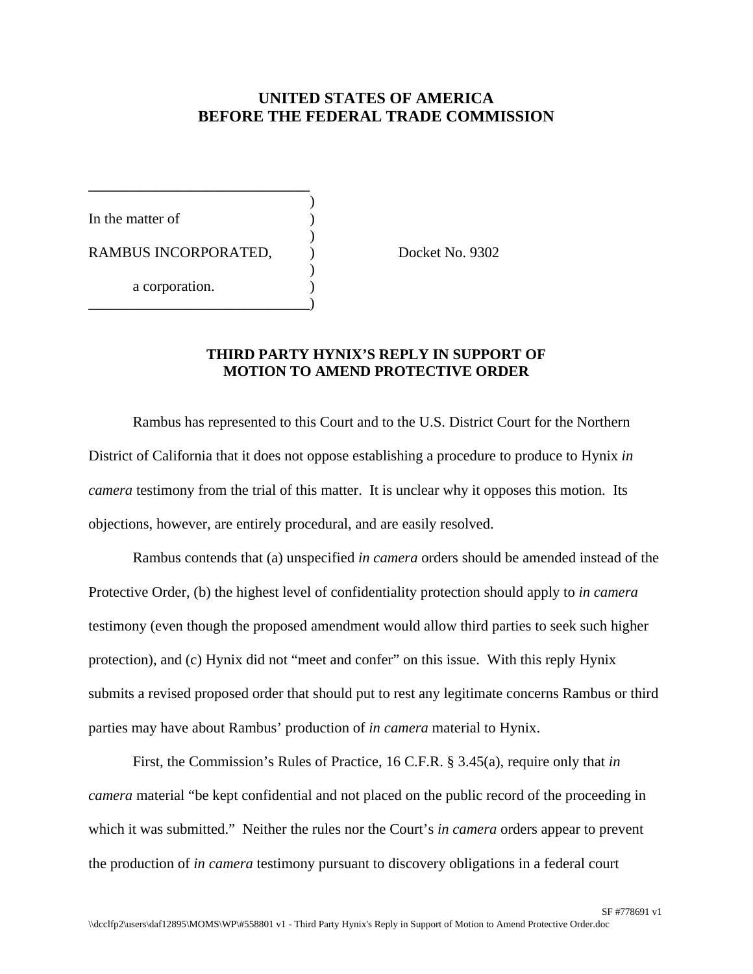## **UNITED STATES OF AMERICA BEFORE THE FEDERAL TRADE COMMISSION**

)

)

)

In the matter of RAMBUS INCORPORATED,  $Docket No. 9302$ a corporation. \_\_\_\_\_\_\_\_\_\_\_\_\_\_\_\_\_\_\_\_\_\_\_\_\_\_\_\_\_\_)

**\_\_\_\_\_\_\_\_\_\_\_\_\_\_\_\_\_\_\_\_\_\_\_\_\_\_\_\_\_\_**

## **THIRD PARTY HYNIX'S REPLY IN SUPPORT OF MOTION TO AMEND PROTECTIVE ORDER**

Rambus has represented to this Court and to the U.S. District Court for the Northern District of California that it does not oppose establishing a procedure to produce to Hynix *in camera* testimony from the trial of this matter. It is unclear why it opposes this motion. Its objections, however, are entirely procedural, and are easily resolved.

Rambus contends that (a) unspecified *in camera* orders should be amended instead of the Protective Order, (b) the highest level of confidentiality protection should apply to *in camera* testimony (even though the proposed amendment would allow third parties to seek such higher protection), and (c) Hynix did not "meet and confer" on this issue. With this reply Hynix submits a revised proposed order that should put to rest any legitimate concerns Rambus or third parties may have about Rambus' production of *in camera* material to Hynix.

First, the Commission's Rules of Practice, 16 C.F.R. § 3.45(a), require only that *in camera* material "be kept confidential and not placed on the public record of the proceeding in which it was submitted." Neither the rules nor the Court's *in camera* orders appear to prevent the production of *in camera* testimony pursuant to discovery obligations in a federal court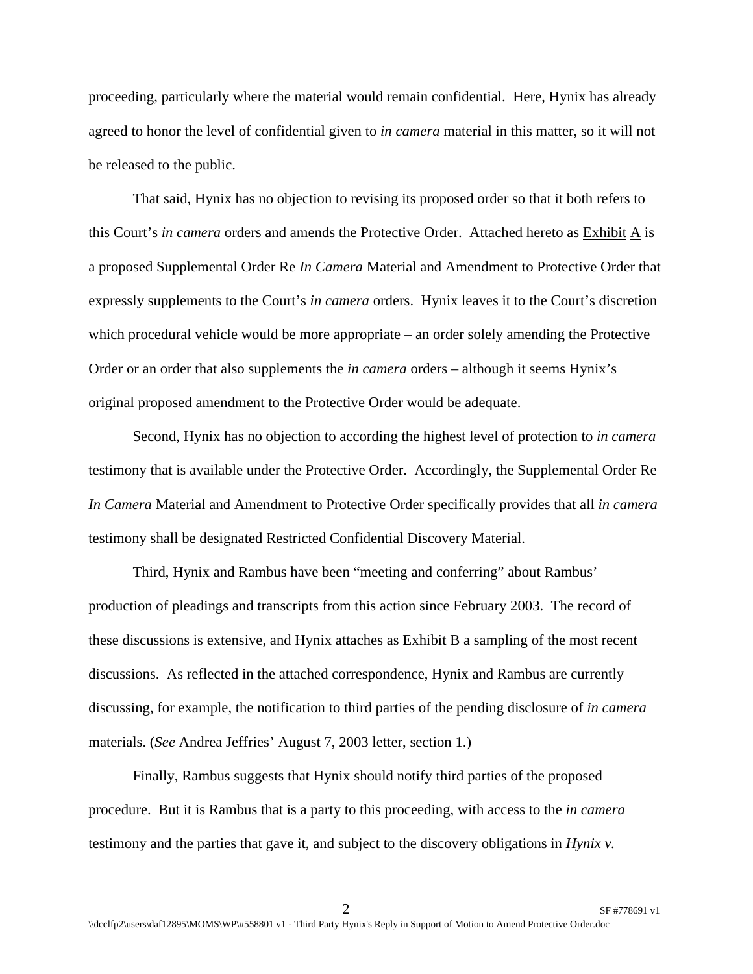proceeding, particularly where the material would remain confidential. Here, Hynix has already agreed to honor the level of confidential given to *in camera* material in this matter, so it will not be released to the public.

That said, Hynix has no objection to revising its proposed order so that it both refers to this Court's *in camera* orders and amends the Protective Order. Attached hereto as Exhibit A is a proposed Supplemental Order Re *In Camera* Material and Amendment to Protective Order that expressly supplements to the Court's *in camera* orders. Hynix leaves it to the Court's discretion which procedural vehicle would be more appropriate – an order solely amending the Protective Order or an order that also supplements the *in camera* orders – although it seems Hynix's original proposed amendment to the Protective Order would be adequate.

Second, Hynix has no objection to according the highest level of protection to *in camera* testimony that is available under the Protective Order. Accordingly, the Supplemental Order Re *In Camera* Material and Amendment to Protective Order specifically provides that all *in camera* testimony shall be designated Restricted Confidential Discovery Material.

Third, Hynix and Rambus have been "meeting and conferring" about Rambus' production of pleadings and transcripts from this action since February 2003. The record of these discussions is extensive, and Hynix attaches as Exhibit B a sampling of the most recent discussions. As reflected in the attached correspondence, Hynix and Rambus are currently discussing, for example, the notification to third parties of the pending disclosure of *in camera* materials. (*See* Andrea Jeffries' August 7, 2003 letter, section 1.)

Finally, Rambus suggests that Hynix should notify third parties of the proposed procedure. But it is Rambus that is a party to this proceeding, with access to the *in camera*  testimony and the parties that gave it, and subject to the discovery obligations in *Hynix v.*